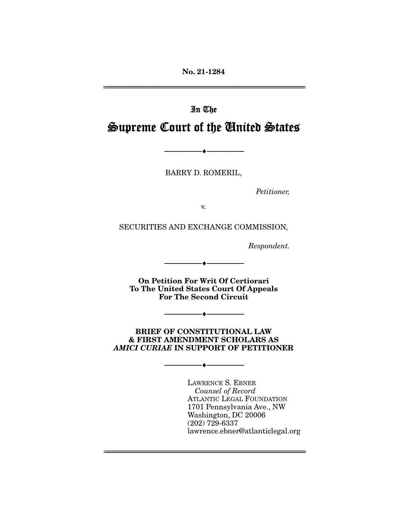**No. 21-1284** 

# In The Supreme Court of the United States

BARRY D. ROMERIL,

--------------------------------- ♦ ---------------------------------

Petitioner,

SECURITIES AND EXCHANGE COMMISSION,

Respondent.

**On Petition For Writ Of Certiorari To The United States Court Of Appeals For The Second Circuit** 

--------------------------------- ♦ ---------------------------------

**BRIEF OF CONSTITUTIONAL LAW & FIRST AMENDMENT SCHOLARS AS**  *AMICI CURIAE* **IN SUPPORT OF PETITIONER** 

 $\overbrace{\hspace{2.5cm}... \hspace{2.7cm}}$ 

 $\overbrace{\hspace{2.5cm}}$   $\overbrace{\hspace{2.5cm}}$ 

Counsel of Record ATLANTIC LEGAL FOUNDATION<br>1701 Pennsylvania Ave., NW Washington, DC 20006  $(202)$  729-6337 (202) 720-000.<br>Iawrence ebner lawrence.ebner@atlanticlegal.org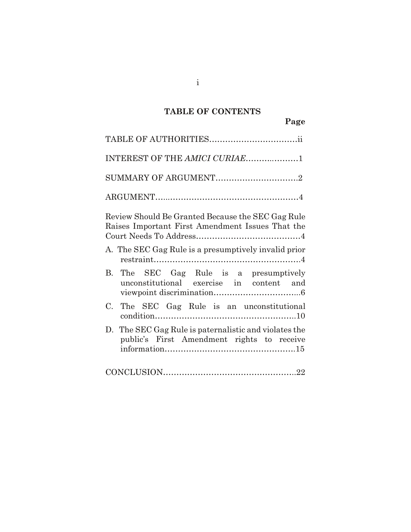# **TABLE OF CONTENTS**

i

| INTEREST OF THE AMICI CURIAE1                                                                         |
|-------------------------------------------------------------------------------------------------------|
| SUMMARY OF ARGUMENT2                                                                                  |
|                                                                                                       |
| Review Should Be Granted Because the SEC Gag Rule<br>Raises Important First Amendment Issues That the |
| A. The SEC Gag Rule is a presumptively invalid prior                                                  |
| B. The SEC Gag Rule is a presumptively<br>unconstitutional exercise in content and                    |
| The SEC Gag Rule is an unconstitutional<br>C.                                                         |
| D. The SEC Gag Rule is paternalistic and violates the<br>public's First Amendment rights to receive   |
| $\textbf{CONCLUSION}.\textcolor{red}{\textbf{22}}$                                                    |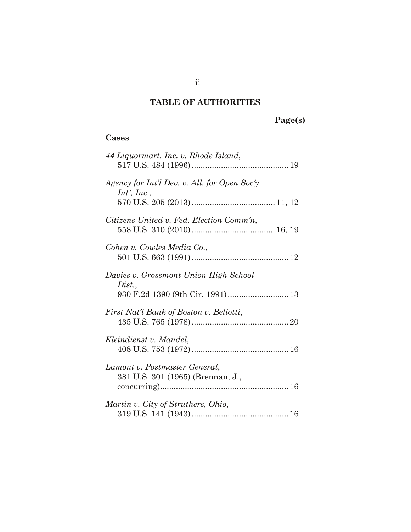# **TABLE OF AUTHORITIES**

# **Page(s)**

# **Cases**

| 44 Liquormart, Inc. v. Rhode Island,                        |
|-------------------------------------------------------------|
| Agency for Int'l Dev. v. All. for Open Soc'y<br>Int', Inc., |
|                                                             |
| Citizens United v. Fed. Election Comm'n,                    |
| Cohen v. Cowles Media Co.,                                  |
| Davies v. Grossmont Union High School                       |
| Dist.,<br>930 F.2d 1390 (9th Cir. 1991) 13                  |
| First Nat'l Bank of Boston v. Bellotti,                     |
| Kleindienst v. Mandel,                                      |
| Lamont v. Postmaster General,                               |
| 381 U.S. 301 (1965) (Brennan, J.,                           |
| Martin v. City of Struthers, Ohio,                          |
|                                                             |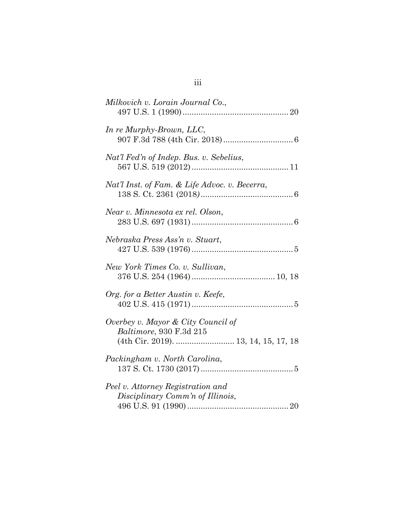| Milkovich v. Lorain Journal Co.,                                                                      |
|-------------------------------------------------------------------------------------------------------|
| In re Murphy-Brown, LLC,                                                                              |
| Nat'l Fed'n of Indep. Bus. v. Sebelius,                                                               |
| Nat'l Inst. of Fam. & Life Advoc. v. Becerra,                                                         |
| Near v. Minnesota ex rel. Olson,                                                                      |
| Nebraska Press Ass'n v. Stuart,                                                                       |
| New York Times Co. v. Sullivan,                                                                       |
| Org. for a Better Austin v. Keefe,                                                                    |
| Overbey v. Mayor & City Council of<br>Baltimore, 930 F.3d 215<br>(4th Cir. 2019).  13, 14, 15, 17, 18 |
| Packingham v. North Carolina,                                                                         |
| Peel v. Attorney Registration and<br>Disciplinary Comm'n of Illinois,                                 |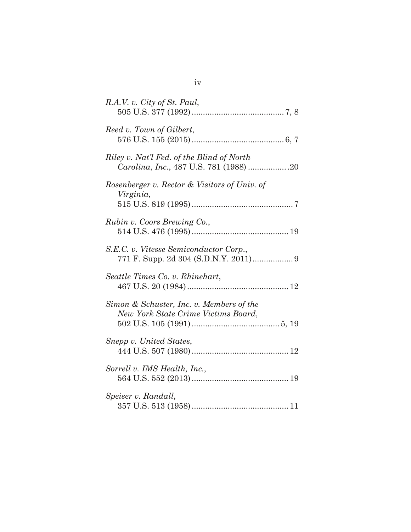| R.A.V. v. City of St. Paul,                                                         |
|-------------------------------------------------------------------------------------|
| Reed v. Town of Gilbert,                                                            |
| Riley v. Nat'l Fed. of the Blind of North<br>Carolina, Inc., 487 U.S. 781 (1988) 20 |
| Rosenberger v. Rector & Visitors of Univ. of<br>Virginia,                           |
| Rubin v. Coors Brewing Co.,                                                         |
| S.E.C. v. Vitesse Semiconductor Corp.,                                              |
| Seattle Times Co. v. Rhinehart,                                                     |
| Simon & Schuster, Inc. v. Members of the<br>New York State Crime Victims Board,     |
| Snepp v. United States,                                                             |
| Sorrell v. IMS Health, Inc.,                                                        |
| Speiser v. Randall,                                                                 |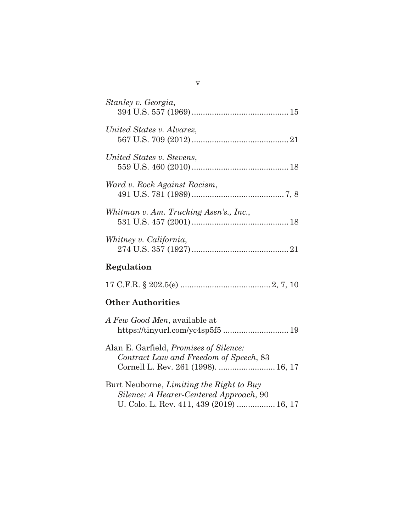| Stanley v. Georgia,                    |  |
|----------------------------------------|--|
| United States v. Alvarez.              |  |
| United States v. Stevens,              |  |
| Ward v. Rock Against Racism,           |  |
| Whitman v. Am. Trucking Assn's., Inc., |  |
| Whitney v. California,                 |  |
| Regulation                             |  |

|--|--|

# **Other Authorities**

| A Few Good Men, available at        |  |
|-------------------------------------|--|
|                                     |  |
|                                     |  |
| Alon F Confield Dromises of Silence |  |

| Alan E. Gartield, <i>Promises of Silence</i> : |  |
|------------------------------------------------|--|
| Contract Law and Freedom of Speech, 83         |  |
|                                                |  |

| Burt Neuborne, <i>Limiting the Right to Buy</i> |  |
|-------------------------------------------------|--|
| Silence: A Hearer-Centered Approach, 90         |  |
| U. Colo. L. Rev. 411, 439 (2019)  16, 17        |  |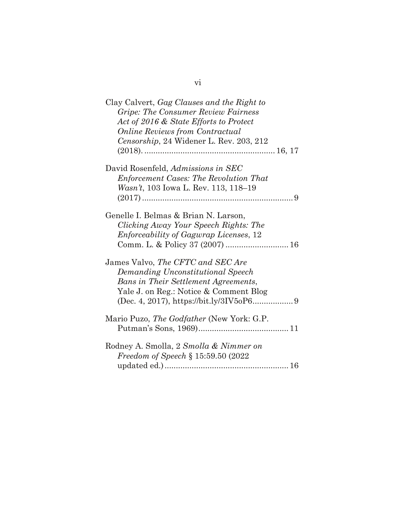| Clay Calvert, Gag Clauses and the Right to    |
|-----------------------------------------------|
| <b>Gripe: The Consumer Review Fairness</b>    |
| Act of 2016 & State Efforts to Protect        |
| <b>Online Reviews from Contractual</b>        |
| Censorship, 24 Widener L. Rev. 203, 212       |
|                                               |
| David Rosenfeld, Admissions in SEC            |
| <b>Enforcement Cases: The Revolution That</b> |
| Wasn't, 103 Iowa L. Rev. 113, 118–19          |
|                                               |
|                                               |
| Genelle I. Belmas & Brian N. Larson,          |
| Clicking Away Your Speech Rights: The         |
| <i>Enforceability of Gagwrap Licenses, 12</i> |
| Comm. L. & Policy 37 (2007)  16               |
|                                               |
| James Valvo, The CFTC and SEC Are             |
| Demanding Unconstitutional Speech             |
| Bans in Their Settlement Agreements,          |
| Yale J. on Reg.: Notice & Comment Blog        |
|                                               |
|                                               |
| Mario Puzo, The Godfather (New York: G.P.     |
|                                               |
| Rodney A. Smolla, 2 Smolla & Nimmer on        |
| Freedom of Speech § 15:59.50 (2022            |
|                                               |
|                                               |

vi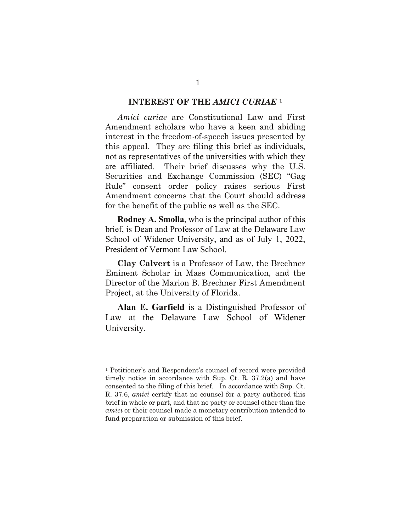#### **INTEREST OF THE** *AMICI CURIAE* **[1](#page-7-0)**

*Amici curiae* are Constitutional Law and First Amendment scholars who have a keen and abiding interest in the freedom-of-speech issues presented by this appeal. They are filing this brief as individuals, not as representatives of the universities with which they are affiliated. Their brief discusses why the U.S. Securities and Exchange Commission (SEC) "Gag Rule" consent order policy raises serious First Amendment concerns that the Court should address for the benefit of the public as well as the SEC.

**Rodney A. Smolla**, who is the principal author of this brief, is Dean and Professor of Law at the Delaware Law School of Widener University, and as of July 1, 2022, President of Vermont Law School.

**Clay Calvert** is a Professor of Law, the Brechner Eminent Scholar in Mass Communication, and the Director of the Marion B. Brechner First Amendment Project, at the University of Florida.

**Alan E. Garfield** is a Distinguished Professor of Law at the Delaware Law School of Widener University.

<span id="page-7-0"></span><sup>1</sup> Petitioner's and Respondent's counsel of record were provided timely notice in accordance with Sup. Ct. R. 37.2(a) and have consented to the filing of this brief. In accordance with Sup. Ct. R. 37.6, *amici* certify that no counsel for a party authored this brief in whole or part, and that no party or counsel other than the *amici* or their counsel made a monetary contribution intended to fund preparation or submission of this brief.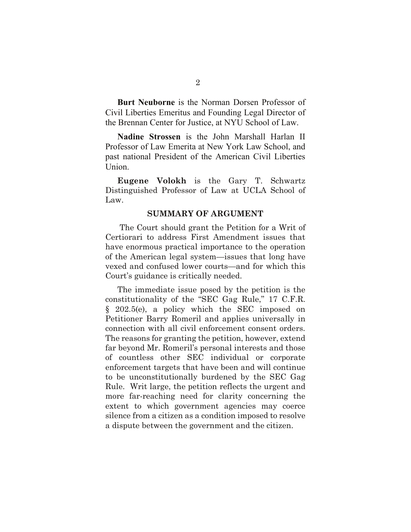**Burt Neuborne** is the Norman Dorsen Professor of Civil Liberties Emeritus and Founding Legal Director of the Brennan Center for Justice, at NYU School of Law.

**Nadine Strossen** is the John Marshall Harlan II Professor of Law Emerita at New York Law School, and past national President of the American Civil Liberties Union.

**Eugene Volokh** is the Gary T. Schwartz Distinguished Professor of Law at UCLA School of Law.

#### <span id="page-8-0"></span>**SUMMARY OF ARGUMENT**

The Court should grant the Petition for a Writ of Certiorari to address First Amendment issues that have enormous practical importance to the operation of the American legal system—issues that long have vexed and confused lower courts—and for which this Court's guidance is critically needed.

The immediate issue posed by the petition is the constitutionality of the "SEC Gag Rule," 17 C.F.R. § 202.5(e), a policy which the SEC imposed on Petitioner Barry Romeril and applies universally in connection with all civil enforcement consent orders. The reasons for granting the petition, however, extend far beyond Mr. Romeril's personal interests and those of countless other SEC individual or corporate enforcement targets that have been and will continue to be unconstitutionally burdened by the SEC Gag Rule. Writ large, the petition reflects the urgent and more far-reaching need for clarity concerning the extent to which government agencies may coerce silence from a citizen as a condition imposed to resolve a dispute between the government and the citizen.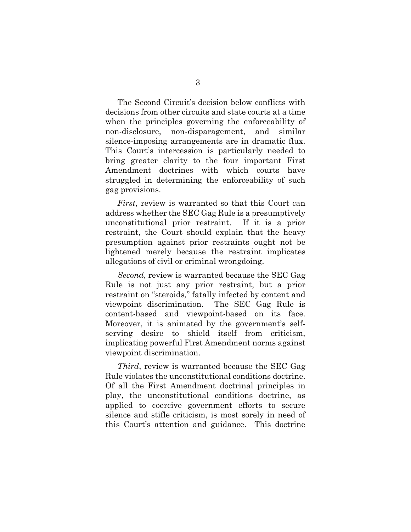The Second Circuit's decision below conflicts with decisions from other circuits and state courts at a time when the principles governing the enforceability of non-disclosure, non-disparagement, and similar silence-imposing arrangements are in dramatic flux. This Court's intercession is particularly needed to bring greater clarity to the four important First Amendment doctrines with which courts have struggled in determining the enforceability of such gag provisions.

*First*, review is warranted so that this Court can address whether the SEC Gag Rule is a presumptively unconstitutional prior restraint. If it is a prior restraint, the Court should explain that the heavy presumption against prior restraints ought not be lightened merely because the restraint implicates allegations of civil or criminal wrongdoing.

*Second*, review is warranted because the SEC Gag Rule is not just any prior restraint, but a prior restraint on "steroids," fatally infected by content and viewpoint discrimination. The SEC Gag Rule is content-based and viewpoint-based on its face. Moreover, it is animated by the government's selfserving desire to shield itself from criticism, implicating powerful First Amendment norms against viewpoint discrimination.

*Third*, review is warranted because the SEC Gag Rule violates the unconstitutional conditions doctrine. Of all the First Amendment doctrinal principles in play, the unconstitutional conditions doctrine, as applied to coercive government efforts to secure silence and stifle criticism, is most sorely in need of this Court's attention and guidance. This doctrine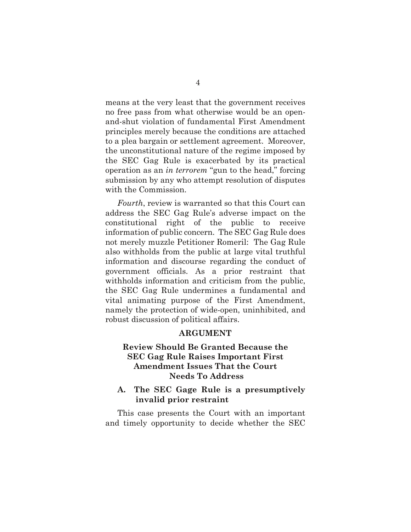means at the very least that the government receives no free pass from what otherwise would be an openand-shut violation of fundamental First Amendment principles merely because the conditions are attached to a plea bargain or settlement agreement. Moreover, the unconstitutional nature of the regime imposed by the SEC Gag Rule is exacerbated by its practical operation as an *in terrorem* "gun to the head," forcing submission by any who attempt resolution of disputes with the Commission.

*Fourth*, review is warranted so that this Court can address the SEC Gag Rule's adverse impact on the constitutional right of the public to receive information of public concern. The SEC Gag Rule does not merely muzzle Petitioner Romeril: The Gag Rule also withholds from the public at large vital truthful information and discourse regarding the conduct of government officials. As a prior restraint that withholds information and criticism from the public, the SEC Gag Rule undermines a fundamental and vital animating purpose of the First Amendment, namely the protection of wide-open, uninhibited, and robust discussion of political affairs.

### **ARGUMENT**

## **Review Should Be Granted Because the SEC Gag Rule Raises Important First Amendment Issues That the Court Needs To Address**

### **A. The SEC Gage Rule is a presumptively invalid prior restraint**

This case presents the Court with an important and timely opportunity to decide whether the SEC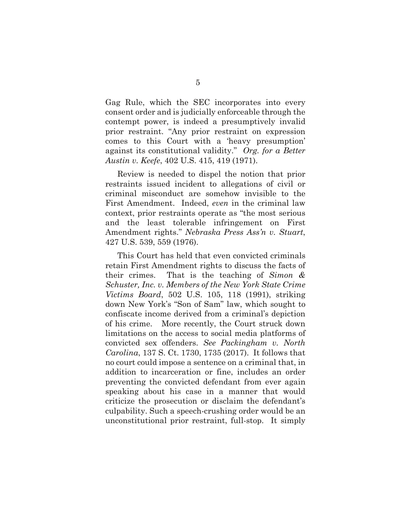Gag Rule, which the SEC incorporates into every consent order and is judicially enforceable through the contempt power, is indeed a presumptively invalid prior restraint. "Any prior restraint on expression comes to this Court with a 'heavy presumption' against its constitutional validity." *Org. for a Better Austin v. Keefe*, 402 U.S. 415, 419 (1971).

<span id="page-11-1"></span>Review is needed to dispel the notion that prior restraints issued incident to allegations of civil or criminal misconduct are somehow invisible to the First Amendment. Indeed, *even* in the criminal law context, prior restraints operate as "the most serious and the least tolerable infringement on First Amendment rights." *Nebraska Press Ass'n v. Stuart*, 427 U.S. 539, 559 (1976).

<span id="page-11-3"></span><span id="page-11-2"></span><span id="page-11-0"></span>This Court has held that even convicted criminals retain First Amendment rights to discuss the facts of their crimes. That is the teaching of *Simon & Schuster, Inc. v. Members of the New York State Crime Victims Board*, 502 U.S. 105, 118 (1991), striking down New York's "Son of Sam" law, which sought to confiscate income derived from a criminal's depiction of his crime. More recently, the Court struck down limitations on the access to social media platforms of convicted sex offenders. *See Packingham v. North Carolina*, 137 S. Ct. 1730, 1735 (2017). It follows that no court could impose a sentence on a criminal that, in addition to incarceration or fine, includes an order preventing the convicted defendant from ever again speaking about his case in a manner that would criticize the prosecution or disclaim the defendant's culpability. Such a speech-crushing order would be an unconstitutional prior restraint, full-stop. It simply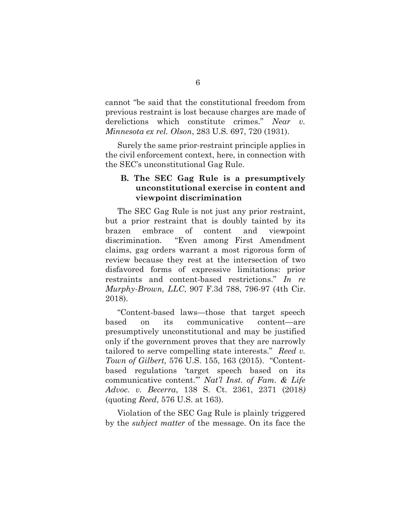cannot "be said that the constitutional freedom from previous restraint is lost because charges are made of derelictions which constitute crimes." *Near v. Minnesota ex rel. Olson*, 283 U.S. 697, 720 (1931).

Surely the same prior-restraint principle applies in the civil enforcement context, here, in connection with the SEC's unconstitutional Gag Rule.

## <span id="page-12-1"></span>**B. The SEC Gag Rule is a presumptively unconstitutional exercise in content and viewpoint discrimination**

The SEC Gag Rule is not just any prior restraint, but a prior restraint that is doubly tainted by its brazen embrace of content and viewpoint discrimination. "Even among First Amendment claims, gag orders warrant a most rigorous form of review because they rest at the intersection of two disfavored forms of expressive limitations: prior restraints and content-based restrictions." *In re Murphy-Brown, LLC*, 907 F.3d 788, 796-97 (4th Cir. 2018).

<span id="page-12-2"></span><span id="page-12-0"></span>"Content-based laws—those that target speech based on its communicative content—are presumptively unconstitutional and may be justified only if the government proves that they are narrowly tailored to serve compelling state interests." *Reed v. Town of Gilbert,* 576 U.S. 155, 163 (2015). "Contentbased regulations 'target speech based on its communicative content.'" *Nat'l Inst. of Fam. & Life Advoc. v. Becerra*, 138 S. Ct. 2361, 2371 (2018*)* (quoting *Reed*, 576 U.S. at 163).

Violation of the SEC Gag Rule is plainly triggered by the *subject matter* of the message. On its face the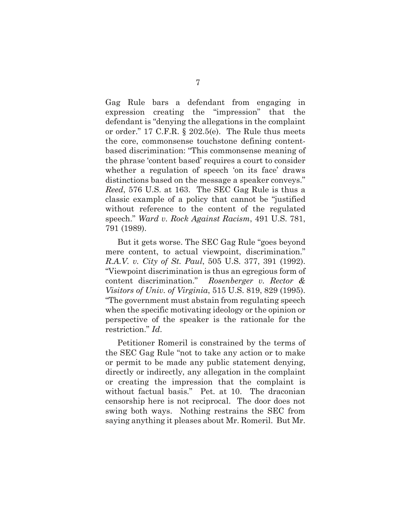<span id="page-13-4"></span>Gag Rule bars a defendant from engaging in expression creating the "impression" that the defendant is "denying the allegations in the complaint or order." 17 C.F.R. § 202.5(e). The Rule thus meets the core, commonsense touchstone defining contentbased discrimination: "This commonsense meaning of the phrase 'content based' requires a court to consider whether a regulation of speech 'on its face' draws distinctions based on the message a speaker conveys." *Reed*, 576 U.S. at 163. The SEC Gag Rule is thus a classic example of a policy that cannot be "justified without reference to the content of the regulated speech." *Ward v. Rock Against Racism*, 491 U.S. 781, 791 (1989).

<span id="page-13-3"></span><span id="page-13-2"></span><span id="page-13-1"></span><span id="page-13-0"></span>But it gets worse. The SEC Gag Rule "goes beyond mere content, to actual viewpoint, discrimination." *R.A.V. v. City of St. Paul*, 505 U.S. 377, 391 (1992). "Viewpoint discrimination is thus an egregious form of content discrimination." *Rosenberger v. Rector & Visitors of Univ. of Virginia*, 515 U.S. 819, 829 (1995). "The government must abstain from regulating speech when the specific motivating ideology or the opinion or perspective of the speaker is the rationale for the restriction." *Id*.

Petitioner Romeril is constrained by the terms of the SEC Gag Rule "not to take any action or to make or permit to be made any public statement denying, directly or indirectly, any allegation in the complaint or creating the impression that the complaint is without factual basis." Pet. at 10. The draconian censorship here is not reciprocal. The door does not swing both ways. Nothing restrains the SEC from saying anything it pleases about Mr. Romeril. But Mr.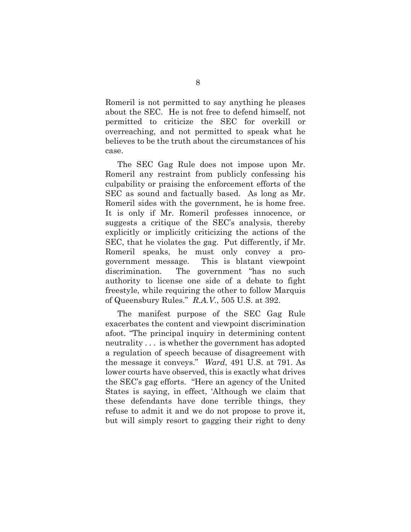Romeril is not permitted to say anything he pleases about the SEC. He is not free to defend himself, not permitted to criticize the SEC for overkill or overreaching, and not permitted to speak what he believes to be the truth about the circumstances of his case.

The SEC Gag Rule does not impose upon Mr. Romeril any restraint from publicly confessing his culpability or praising the enforcement efforts of the SEC as sound and factually based. As long as Mr. Romeril sides with the government, he is home free. It is only if Mr. Romeril professes innocence, or suggests a critique of the SEC's analysis, thereby explicitly or implicitly criticizing the actions of the SEC, that he violates the gag. Put differently, if Mr. Romeril speaks, he must only convey a progovernment message. This is blatant viewpoint discrimination. The government "has no such authority to license one side of a debate to fight freestyle, while requiring the other to follow Marquis of Queensbury Rules." *R.A.V.*, 505 U.S. at 392.

<span id="page-14-1"></span><span id="page-14-0"></span>The manifest purpose of the SEC Gag Rule exacerbates the content and viewpoint discrimination afoot. "The principal inquiry in determining content neutrality . . . is whether the government has adopted a regulation of speech because of disagreement with the message it conveys." *Ward*, 491 U.S. at 791. As lower courts have observed, this is exactly what drives the SEC's gag efforts. "Here an agency of the United States is saying, in effect, 'Although we claim that these defendants have done terrible things, they refuse to admit it and we do not propose to prove it, but will simply resort to gagging their right to deny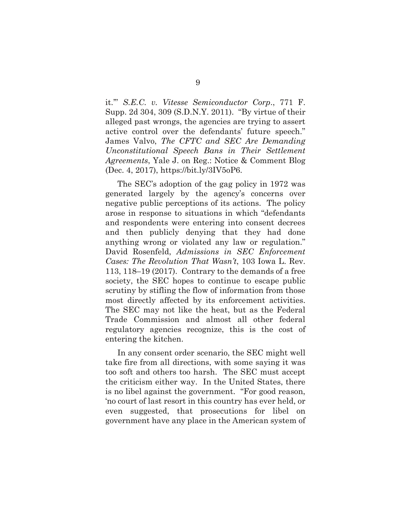<span id="page-15-2"></span><span id="page-15-0"></span>it.'" *S.E.C. v. Vitesse Semiconductor Corp*., 771 F. Supp. 2d 304, 309 (S.D.N.Y. 2011). "By virtue of their alleged past wrongs, the agencies are trying to assert active control over the defendants' future speech." James Valvo, *The CFTC and SEC Are Demanding Unconstitutional Speech Bans in Their Settlement Agreements*, Yale J. on Reg.: Notice & Comment Blog (Dec. 4, 2017), https://bit.ly/3IV5oP6.

<span id="page-15-1"></span>The SEC's adoption of the gag policy in 1972 was generated largely by the agency's concerns over negative public perceptions of its actions. The policy arose in response to situations in which "defendants and respondents were entering into consent decrees and then publicly denying that they had done anything wrong or violated any law or regulation." David Rosenfeld, *Admissions in SEC Enforcement Cases: The Revolution That Wasn't*, 103 Iowa L. Rev. 113, 118–19 (2017). Contrary to the demands of a free society, the SEC hopes to continue to escape public scrutiny by stifling the flow of information from those most directly affected by its enforcement activities. The SEC may not like the heat, but as the Federal Trade Commission and almost all other federal regulatory agencies recognize, this is the cost of entering the kitchen.

In any consent order scenario, the SEC might well take fire from all directions, with some saying it was too soft and others too harsh. The SEC must accept the criticism either way. In the United States, there is no libel against the government. "For good reason, 'no court of last resort in this country has ever held, or even suggested, that prosecutions for libel on government have any place in the American system of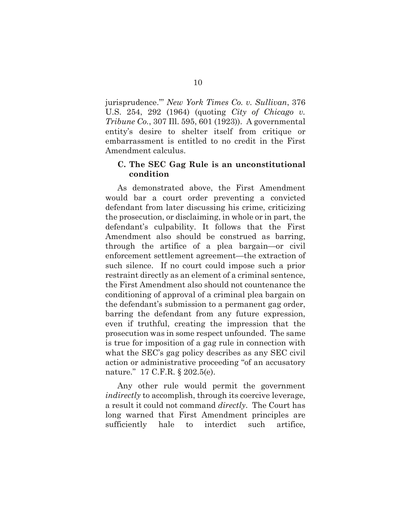<span id="page-16-0"></span>jurisprudence.''' *New York Times Co. v. Sullivan*, 376 U.S. 254, 292 (1964) (quoting *City of Chicago v. Tribune Co.*, 307 Ill. 595, 601 (1923)). A governmental entity's desire to shelter itself from critique or embarrassment is entitled to no credit in the First Amendment calculus.

### **C. The SEC Gag Rule is an unconstitutional condition**

As demonstrated above, the First Amendment would bar a court order preventing a convicted defendant from later discussing his crime, criticizing the prosecution, or disclaiming, in whole or in part, the defendant's culpability. It follows that the First Amendment also should be construed as barring, through the artifice of a plea bargain—or civil enforcement settlement agreement—the extraction of such silence. If no court could impose such a prior restraint directly as an element of a criminal sentence, the First Amendment also should not countenance the conditioning of approval of a criminal plea bargain on the defendant's submission to a permanent gag order, barring the defendant from any future expression, even if truthful, creating the impression that the prosecution was in some respect unfounded. The same is true for imposition of a gag rule in connection with what the SEC's gag policy describes as any SEC civil action or administrative proceeding "of an accusatory nature." 17 C.F.R. § 202.5(e).

<span id="page-16-1"></span>Any other rule would permit the government *indirectly* to accomplish, through its coercive leverage, a result it could not command *directly*. The Court has long warned that First Amendment principles are sufficiently hale to interdict such artifice,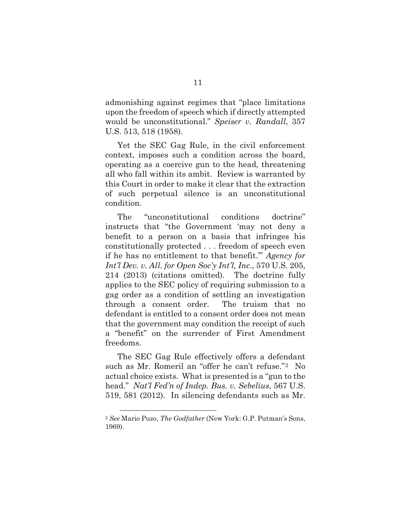<span id="page-17-2"></span>admonishing against regimes that "place limitations upon the freedom of speech which if directly attempted would be unconstitutional." *Speiser v. Randall*, 357 U.S. 513, 518 (1958).

Yet the SEC Gag Rule, in the civil enforcement context, imposes such a condition across the board, operating as a coercive gun to the head, threatening all who fall within its ambit. Review is warranted by this Court in order to make it clear that the extraction of such perpetual silence is an unconstitutional condition.

<span id="page-17-0"></span>The "unconstitutional conditions doctrine" instructs that "the Government 'may not deny a benefit to a person on a basis that infringes his constitutionally protected . . . freedom of speech even if he has no entitlement to that benefit.'" *Agency for Int'l Dev. v. All. for Open Soc'y Int'l, Inc*., 570 U.S. 205, 214 (2013) (citations omitted). The doctrine fully applies to the SEC policy of requiring submission to a gag order as a condition of settling an investigation through a consent order. The truism that no defendant is entitled to a consent order does not mean that the government may condition the receipt of such a "benefit" on the surrender of First Amendment freedoms.

<span id="page-17-1"></span>The SEC Gag Rule effectively offers a defendant such as Mr. Romeril an "offer he can't refuse."[2](#page-17-4) No actual choice exists. What is presented is a "gun to the head." *Nat'l Fed'n of Indep. Bus. v. Sebelius*, 567 U.S. 519, 581 (2012). In silencing defendants such as Mr.

<span id="page-17-4"></span><span id="page-17-3"></span><sup>2</sup> *See* Mario Puzo, *The Godfather* (New York: G.P. Putman's Sons, 1969).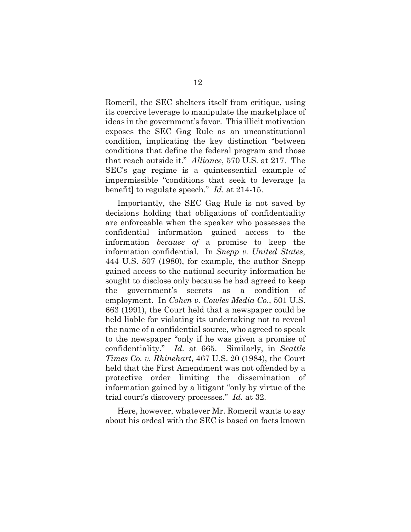Romeril, the SEC shelters itself from critique, using its coercive leverage to manipulate the marketplace of ideas in the government's favor. This illicit motivation exposes the SEC Gag Rule as an unconstitutional condition, implicating the key distinction "between conditions that define the federal program and those that reach outside it." *Alliance*, 570 U.S. at 217. The SEC's gag regime is a quintessential example of impermissible "conditions that seek to leverage [a benefit] to regulate speech." *Id*. at 214-15.

<span id="page-18-3"></span><span id="page-18-1"></span><span id="page-18-0"></span>Importantly, the SEC Gag Rule is not saved by decisions holding that obligations of confidentiality are enforceable when the speaker who possesses the confidential information gained access to the information *because of* a promise to keep the information confidential. In *Snepp v. United States*, 444 U.S. 507 (1980), for example, the author Snepp gained access to the national security information he sought to disclose only because he had agreed to keep the government's secrets as a condition of employment. In *Cohen v. Cowles Media Co*., 501 U.S. 663 (1991), the Court held that a newspaper could be held liable for violating its undertaking not to reveal the name of a confidential source, who agreed to speak to the newspaper "only if he was given a promise of confidentiality." *Id.* at 665. Similarly, in *Seattle Times Co. v. Rhinehart*, 467 U.S. 20 (1984), the Court held that the First Amendment was not offended by a protective order limiting the dissemination of information gained by a litigant "only by virtue of the trial court's discovery processes." *Id.* at 32.

<span id="page-18-2"></span>Here, however, whatever Mr. Romeril wants to say about his ordeal with the SEC is based on facts known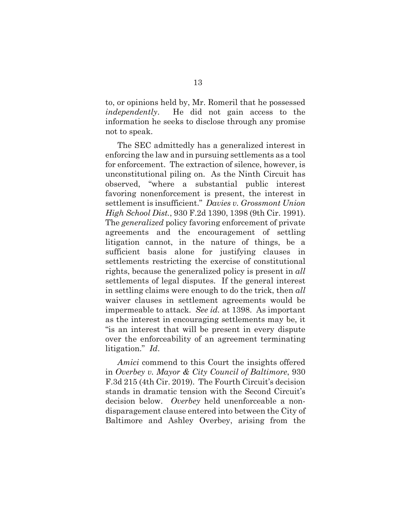to, or opinions held by, Mr. Romeril that he possessed *independently*. He did not gain access to the information he seeks to disclose through any promise not to speak.

<span id="page-19-0"></span>The SEC admittedly has a generalized interest in enforcing the law and in pursuing settlements as a tool for enforcement. The extraction of silence, however, is unconstitutional piling on. As the Ninth Circuit has observed, "where a substantial public interest favoring nonenforcement is present, the interest in settlement is insufficient." *Davies v. Grossmont Union High School Dist.*, 930 F.2d 1390, 1398 (9th Cir. 1991). The *generalized* policy favoring enforcement of private agreements and the encouragement of settling litigation cannot, in the nature of things, be a sufficient basis alone for justifying clauses in settlements restricting the exercise of constitutional rights, because the generalized policy is present in *all*  settlements of legal disputes. If the general interest in settling claims were enough to do the trick, then *all*  waiver clauses in settlement agreements would be impermeable to attack. *See id.* at 1398. As important as the interest in encouraging settlements may be, it "is an interest that will be present in every dispute over the enforceability of an agreement terminating litigation." *Id*.

<span id="page-19-2"></span><span id="page-19-1"></span>*Amici* commend to this Court the insights offered in *Overbey v. Mayor & City Council of Baltimore*, 930 F.3d 215 (4th Cir. 2019). The Fourth Circuit's decision stands in dramatic tension with the Second Circuit's decision below. *Overbey* held unenforceable a nondisparagement clause entered into between the City of Baltimore and Ashley Overbey, arising from the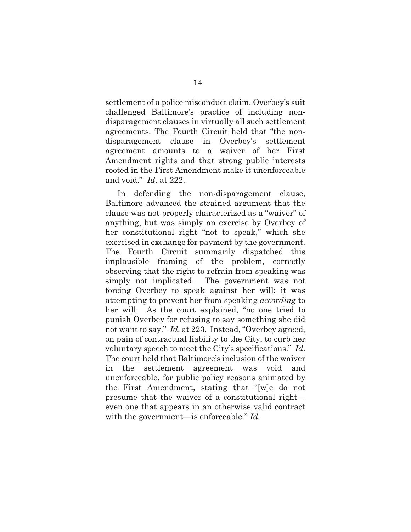settlement of a police misconduct claim. Overbey's suit challenged Baltimore's practice of including nondisparagement clauses in virtually all such settlement agreements. The Fourth Circuit held that "the nondisparagement clause in Overbey's settlement agreement amounts to a waiver of her First Amendment rights and that strong public interests rooted in the First Amendment make it unenforceable and void." *Id*. at 222.

In defending the non-disparagement clause, Baltimore advanced the strained argument that the clause was not properly characterized as a "waiver" of anything, but was simply an exercise by Overbey of her constitutional right "not to speak," which she exercised in exchange for payment by the government. The Fourth Circuit summarily dispatched this implausible framing of the problem, correctly observing that the right to refrain from speaking was simply not implicated. The government was not forcing Overbey to speak against her will; it was attempting to prevent her from speaking *according* to her will. As the court explained, "no one tried to punish Overbey for refusing to say something she did not want to say." *Id.* at 223. Instead, "Overbey agreed, on pain of contractual liability to the City, to curb her voluntary speech to meet the City's specifications." *Id*. The court held that Baltimore's inclusion of the waiver in the settlement agreement was void and unenforceable, for public policy reasons animated by the First Amendment, stating that "[w]e do not presume that the waiver of a constitutional right even one that appears in an otherwise valid contract with the government—is enforceable." *Id.*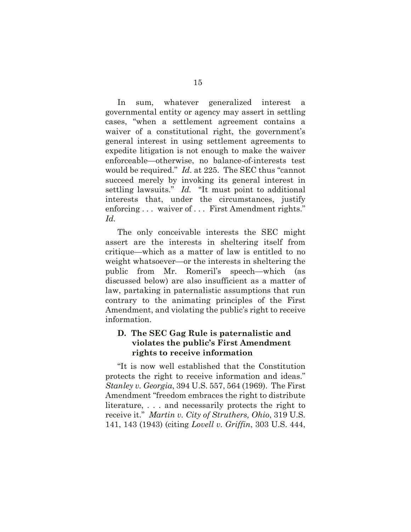In sum, whatever generalized interest a governmental entity or agency may assert in settling cases, "when a settlement agreement contains a waiver of a constitutional right, the government's general interest in using settlement agreements to expedite litigation is not enough to make the waiver enforceable—otherwise, no balance-of-interests test would be required." *Id*. at 225. The SEC thus "cannot succeed merely by invoking its general interest in settling lawsuits." *Id.* "It must point to additional interests that, under the circumstances, justify enforcing . . . waiver of . . . First Amendment rights." *Id.*

<span id="page-21-1"></span>The only conceivable interests the SEC might assert are the interests in sheltering itself from critique—which as a matter of law is entitled to no weight whatsoever—or the interests in sheltering the public from Mr. Romeril's speech—which (as discussed below) are also insufficient as a matter of law, partaking in paternalistic assumptions that run contrary to the animating principles of the First Amendment, and violating the public's right to receive information.

## **D. The SEC Gag Rule is paternalistic and violates the public's First Amendment rights to receive information**

<span id="page-21-2"></span><span id="page-21-0"></span>"It is now well established that the Constitution protects the right to receive information and ideas." *Stanley v. Georgia*, 394 U.S. 557, 564 (1969). The First Amendment "freedom embraces the right to distribute literature, . . . and necessarily protects the right to receive it." *Martin v. City of Struthers, Ohio*, 319 U.S. 141, 143 (1943) (citing *Lovell v. Griffin*, 303 U.S. 444,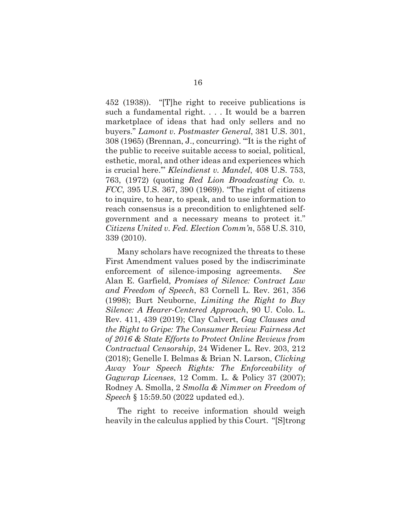<span id="page-22-2"></span><span id="page-22-1"></span>452 (1938)). "[T]he right to receive publications is such a fundamental right. . . . It would be a barren marketplace of ideas that had only sellers and no buyers." *Lamont v. Postmaster General*, 381 U.S. 301, 308 (1965) (Brennan, J., concurring). "'It is the right of the public to receive suitable access to social, political, esthetic, moral, and other ideas and experiences which is crucial here.'" *Kleindienst v. Mandel*, 408 U.S. 753, 763, (1972) (quoting *Red Lion Broadcasting Co. v. FCC*, 395 U.S. 367, 390 (1969)). "The right of citizens to inquire, to hear, to speak, and to use information to reach consensus is a precondition to enlightened selfgovernment and a necessary means to protect it." *Citizens United v. Fed. Election Comm'n*, 558 U.S. 310, 339 (2010).

<span id="page-22-3"></span><span id="page-22-0"></span>Many scholars have recognized the threats to these First Amendment values posed by the indiscriminate enforcement of silence-imposing agreements. *See*  Alan E. Garfield, *Promises of Silence: Contract Law and Freedom of Speech*, 83 Cornell L. Rev. 261, 356 (1998); Burt Neuborne, *Limiting the Right to Buy Silence: A Hearer-Centered Approach*, 90 U. Colo. L. Rev. 411, 439 (2019); Clay Calvert, *Gag Clauses and the Right to Gripe: The Consumer Review Fairness Act of 2016 & State Efforts to Protect Online Reviews from Contractual Censorship*, 24 Widener L. Rev. 203, 212 (2018); Genelle I. Belmas & Brian N. Larson, *Clicking Away Your Speech Rights: The Enforceability of Gagwrap Licenses*, 12 Comm. L. & Policy 37 (2007); Rodney A. Smolla, 2 *Smolla & Nimmer on Freedom of Speech* § 15:59.50 (2022 updated ed.).

<span id="page-22-5"></span><span id="page-22-4"></span>The right to receive information should weigh heavily in the calculus applied by this Court. "[S]trong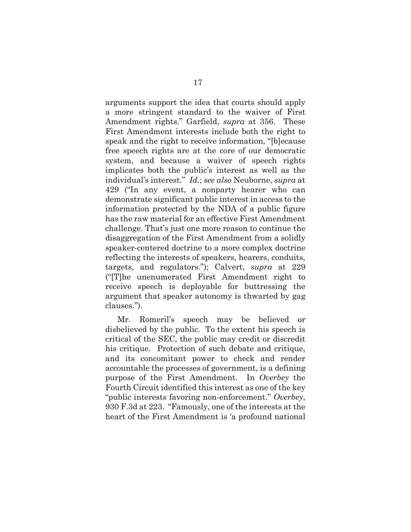arguments support the idea that courts should apply a more stringent standard to the waiver of First Amendment rights." Garfield, *supra* at 356. These First Amendment interests include both the right to speak and the right to receive information, "[b]ecause free speech rights are at the core of our democratic system, and because a waiver of speech rights implicates both the public's interest as well as the individual's interest." *Id.*; *see also* Neuborne, *supra* at 429 ("In any event, a nonparty hearer who can demonstrate significant public interest in access to the information protected by the NDA of a public figure has the raw material for an effective First Amendment challenge. That's just one more reason to continue the disaggregation of the First Amendment from a solidly speaker-centered doctrine to a more complex doctrine reflecting the interests of speakers, hearers, conduits, targets, and regulators."); Calvert, *supra* at 229 ("[T]he unenumerated First Amendment right to receive speech is deployable for buttressing the argument that speaker autonomy is thwarted by gag clauses.").

<span id="page-23-0"></span>Mr. Romeril's speech may be believed or disbelieved by the public. To the extent his speech is critical of the SEC, the public may credit or discredit his critique. Protection of such debate and critique, and its concomitant power to check and render accountable the processes of government, is a defining purpose of the First Amendment. In *Overbey* the Fourth Circuit identified this interest as one of the key "public interests favoring non-enforcement." *Overbey*, 930 F.3d at 223. "Famously, one of the interests at the heart of the First Amendment is 'a profound national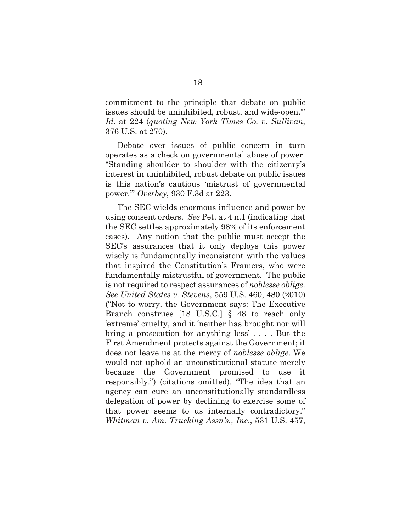commitment to the principle that debate on public issues should be uninhibited, robust, and wide-open.'" *Id.* at 224 (*quoting New York Times Co. v. Sullivan*, 376 U.S. at 270).

Debate over issues of public concern in turn operates as a check on governmental abuse of power. "Standing shoulder to shoulder with the citizenry's interest in uninhibited, robust debate on public issues is this nation's cautious 'mistrust of governmental power.'" *Overbey*, 930 F.3d at 223.

<span id="page-24-1"></span><span id="page-24-0"></span>The SEC wields enormous influence and power by using consent orders. *See* Pet. at 4 n.1 (indicating that the SEC settles approximately 98% of its enforcement cases). Any notion that the public must accept the SEC's assurances that it only deploys this power wisely is fundamentally inconsistent with the values that inspired the Constitution's Framers, who were fundamentally mistrustful of government. The public is not required to respect assurances of *noblesse oblige*. *See United States v. Stevens*, 559 U.S. 460, 480 (2010) ("Not to worry, the Government says: The Executive Branch construes [18 U.S.C.] § 48 to reach only 'extreme' cruelty, and it 'neither has brought nor will bring a prosecution for anything less' . . . . But the First Amendment protects against the Government; it does not leave us at the mercy of *noblesse oblige*. We would not uphold an unconstitutional statute merely because the Government promised to use it responsibly.") (citations omitted). "The idea that an agency can cure an unconstitutionally standardless delegation of power by declining to exercise some of that power seems to us internally contradictory." *Whitman v. Am. Trucking Assn's., Inc*., 531 U.S. 457,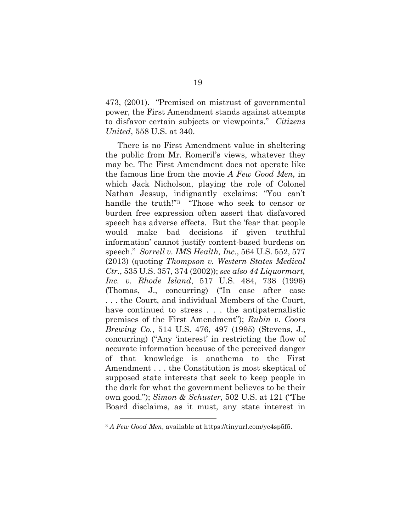<span id="page-25-1"></span>473, (2001). "Premised on mistrust of governmental power, the First Amendment stands against attempts to disfavor certain subjects or viewpoints." *Citizens United*, 558 U.S. at 340.

<span id="page-25-4"></span><span id="page-25-0"></span>There is no First Amendment value in sheltering the public from Mr. Romeril's views, whatever they may be. The First Amendment does not operate like the famous line from the movie *A Few Good Men*, in which Jack Nicholson, playing the role of Colonel Nathan Jessup, indignantly exclaims: "You can't handle the truth!"<sup>[3](#page-25-6)</sup> "Those who seek to censor or burden free expression often assert that disfavored speech has adverse effects. But the 'fear that people would make bad decisions if given truthful information' cannot justify content-based burdens on speech." *Sorrell v. IMS Health, Inc.*, 564 U.S. 552, 577 (2013) (quoting *Thompson v. Western States Medical Ctr.*, 535 U.S. 357, 374 (2002)); *see also 44 Liquormart, Inc. v. Rhode Island*, 517 U.S. 484, 738 (1996) (Thomas, J., concurring) ("In case after case . . . the Court, and individual Members of the Court, have continued to stress . . . the antipaternalistic premises of the First Amendment"); *Rubin v. Coors Brewing Co.*, 514 U.S. 476, 497 (1995) (Stevens, J., concurring) ("Any 'interest' in restricting the flow of accurate information because of the perceived danger of that knowledge is anathema to the First Amendment . . . the Constitution is most skeptical of supposed state interests that seek to keep people in the dark for what the government believes to be their own good."); *Simon & Schuster*, 502 U.S. at 121 ("The Board disclaims, as it must, any state interest in

<span id="page-25-6"></span><span id="page-25-5"></span><span id="page-25-3"></span><span id="page-25-2"></span><sup>3</sup> *A Few Good Men*, available at https://tinyurl.com/yc4sp5f5.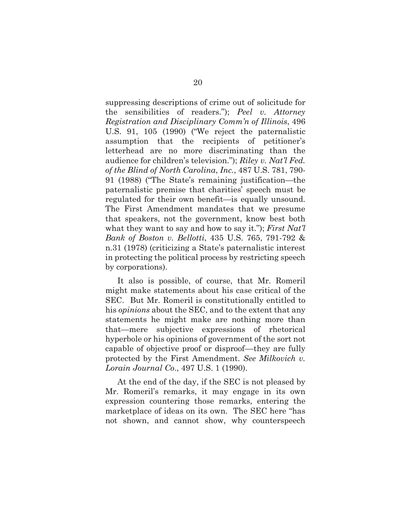<span id="page-26-2"></span>suppressing descriptions of crime out of solicitude for the sensibilities of readers."); *Peel v. Attorney Registration and Disciplinary Comm'n of Illinois*, 496 U.S. 91, 105 (1990) ("We reject the paternalistic assumption that the recipients of petitioner's letterhead are no more discriminating than the audience for children's television."); *Riley v. Nat'l Fed. of the Blind of North Carolina*, *Inc.*, 487 U.S. 781, 790- 91 (1988) ("The State's remaining justification—the paternalistic premise that charities' speech must be regulated for their own benefit—is equally unsound. The First Amendment mandates that we presume that speakers, not the government, know best both what they want to say and how to say it."); *First Nat'l Bank of Boston v. Bellotti*, 435 U.S. 765, 791-792 & n.31 (1978) (criticizing a State's paternalistic interest in protecting the political process by restricting speech by corporations).

<span id="page-26-0"></span>It also is possible, of course, that Mr. Romeril might make statements about his case critical of the SEC. But Mr. Romeril is constitutionally entitled to his *opinions* about the SEC, and to the extent that any statements he might make are nothing more than that—mere subjective expressions of rhetorical hyperbole or his opinions of government of the sort not capable of objective proof or disproof––they are fully protected by the First Amendment. *See Milkovich v. Lorain Journal Co*., 497 U.S. 1 (1990).

<span id="page-26-1"></span>At the end of the day, if the SEC is not pleased by Mr. Romeril's remarks, it may engage in its own expression countering those remarks, entering the marketplace of ideas on its own. The SEC here "has not shown, and cannot show, why counterspeech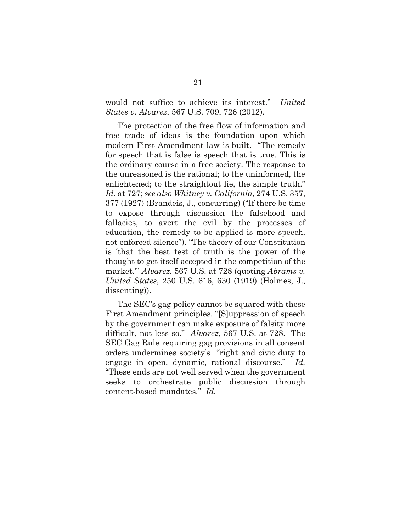<span id="page-27-0"></span>would not suffice to achieve its interest." *United States v. Alvarez*, 567 U.S. 709, 726 (2012).

<span id="page-27-1"></span>The protection of the free flow of information and free trade of ideas is the foundation upon which modern First Amendment law is built. "The remedy for speech that is false is speech that is true. This is the ordinary course in a free society. The response to the unreasoned is the rational; to the uninformed, the enlightened; to the straightout lie, the simple truth." *Id.* at 727; *see also Whitney v. California*, 274 U.S. 357, 377 (1927) (Brandeis, J., concurring) ("If there be time to expose through discussion the falsehood and fallacies, to avert the evil by the processes of education, the remedy to be applied is more speech, not enforced silence"). "The theory of our Constitution is 'that the best test of truth is the power of the thought to get itself accepted in the competition of the market.'" *Alvarez*, 567 U.S. at 728 (quoting *Abrams v. United States*, 250 U.S. 616, 630 (1919) (Holmes, J., dissenting)).

The SEC's gag policy cannot be squared with these First Amendment principles. "[S]uppression of speech by the government can make exposure of falsity more difficult, not less so." *Alvarez*, 567 U.S. at 728. The SEC Gag Rule requiring gag provisions in all consent orders undermines society's "right and civic duty to engage in open, dynamic, rational discourse." *Id.* "These ends are not well served when the government seeks to orchestrate public discussion through content-based mandates." *Id.*